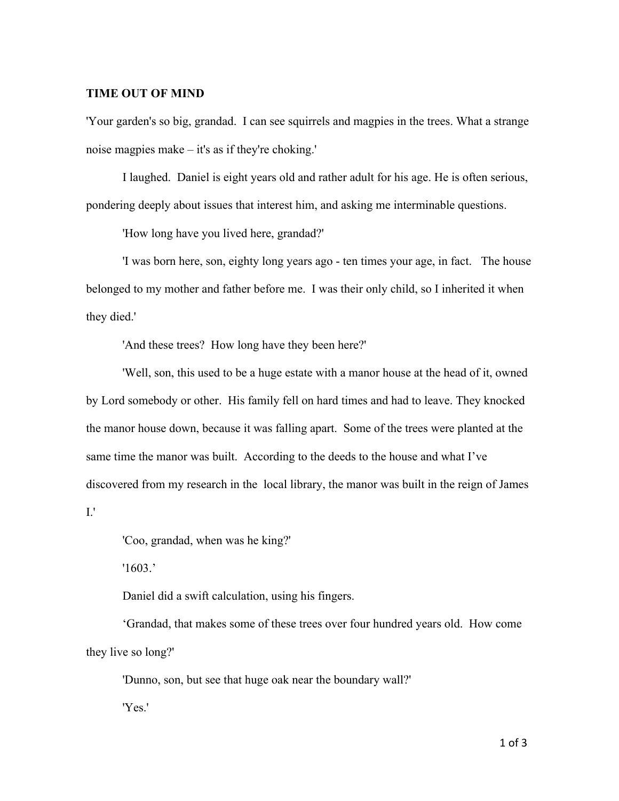## **TIME OUT OF MIND**

'Your garden's so big, grandad. I can see squirrels and magpies in the trees. What a strange noise magpies make – it's as if they're choking.'

I laughed. Daniel is eight years old and rather adult for his age. He is often serious, pondering deeply about issues that interest him, and asking me interminable questions.

'How long have you lived here, grandad?'

'I was born here, son, eighty long years ago - ten times your age, in fact. The house belonged to my mother and father before me. I was their only child, so I inherited it when they died.'

'And these trees? How long have they been here?'

'Well, son, this used to be a huge estate with a manor house at the head of it, owned by Lord somebody or other. His family fell on hard times and had to leave. They knocked the manor house down, because it was falling apart. Some of the trees were planted at the same time the manor was built. According to the deeds to the house and what I've discovered from my research in the local library, the manor was built in the reign of James I.'

'Coo, grandad, when was he king?'

'1603.'

Daniel did a swift calculation, using his fingers.

'Grandad, that makes some of these trees over four hundred years old. How come they live so long?'

'Dunno, son, but see that huge oak near the boundary wall?'

'Yes.'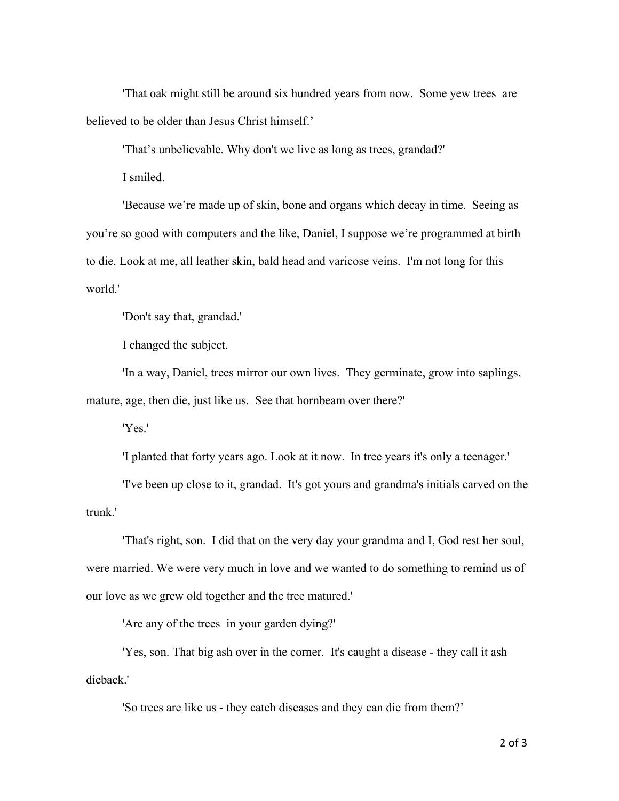'That oak might still be around six hundred years from now. Some yew trees are believed to be older than Jesus Christ himself.'

'That's unbelievable. Why don't we live as long as trees, grandad?'

I smiled.

'Because we're made up of skin, bone and organs which decay in time. Seeing as you're so good with computers and the like, Daniel, I suppose we're programmed at birth to die. Look at me, all leather skin, bald head and varicose veins. I'm not long for this world.'

'Don't say that, grandad.'

I changed the subject.

'In a way, Daniel, trees mirror our own lives. They germinate, grow into saplings, mature, age, then die, just like us. See that hornbeam over there?'

'Yes.'

'I planted that forty years ago. Look at it now. In tree years it's only a teenager.'

'I've been up close to it, grandad. It's got yours and grandma's initials carved on the trunk.'

'That's right, son. I did that on the very day your grandma and I, God rest her soul, were married. We were very much in love and we wanted to do something to remind us of our love as we grew old together and the tree matured.'

'Are any of the trees in your garden dying?'

'Yes, son. That big ash over in the corner. It's caught a disease - they call it ash dieback.'

'So trees are like us - they catch diseases and they can die from them?'

2 of 3